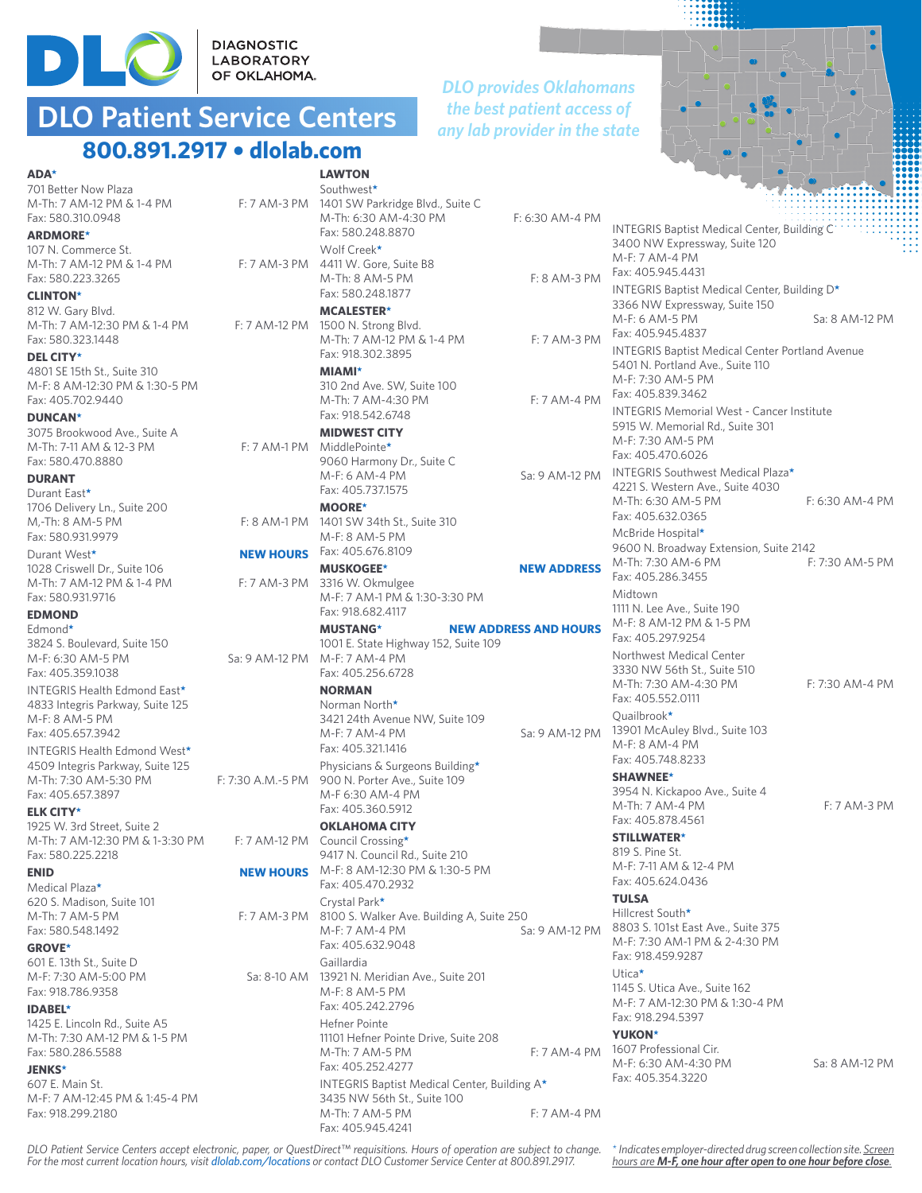

DIAGNOSTIC<br>LABORATORY<br>OF OKLAHOMA.

## **DLO Patient Service Centers 800.891.2917 • dlolab.com**

#### *DLO provides Oklahomans the best patient access of any lab provider in the state*



| <b>ADA*</b>                                                     |                  | <b>LAWTON</b>                                                           |                              |
|-----------------------------------------------------------------|------------------|-------------------------------------------------------------------------|------------------------------|
| 701 Better Now Plaza                                            |                  | Southwest*                                                              |                              |
| M-Th: 7 AM-12 PM & 1-4 PM<br>Fax: 580.310.0948                  |                  | F: 7 AM-3 PM 1401 SW Parkridge Blvd., Suite C<br>M-Th: 6:30 AM-4:30 PM  | F: 6:30 AM-4 PM              |
|                                                                 |                  | Fax: 580.248.8870                                                       |                              |
| <b>ARDMORE*</b><br>107 N. Commerce St.                          |                  | Wolf Creek*                                                             |                              |
| M-Th: 7 AM-12 PM & 1-4 PM                                       |                  | F: 7 AM-3 PM 4411 W. Gore. Suite B8                                     |                              |
| Fax: 580.223.3265                                               |                  | M-Th: 8 AM-5 PM                                                         | F: 8 AM-3 PM                 |
| <b>CLINTON*</b>                                                 |                  | Fax: 580.248.1877                                                       |                              |
| 812 W. Gary Blvd.                                               |                  | <b>MCALESTER*</b>                                                       |                              |
| M-Th: 7 AM-12:30 PM & 1-4 PM                                    |                  | F: 7 AM-12 PM 1500 N. Strong Blvd.                                      |                              |
| Fax: 580.323.1448                                               |                  | M-Th: 7 AM-12 PM & 1-4 PM                                               | F: 7 AM-3 PM                 |
| DEL CITY*                                                       |                  | Fax: 918.302.3895                                                       |                              |
| 4801 SE 15th St., Suite 310                                     |                  | <b>MIAMI*</b>                                                           |                              |
| M-F: 8 AM-12:30 PM & 1:30-5 PM                                  |                  | 310 2nd Ave. SW, Suite 100                                              |                              |
| Fax: 405.702.9440                                               |                  | M-Th: 7 AM-4:30 PM                                                      | F: 7 AM-4 PM                 |
| <b>DUNCAN*</b>                                                  |                  | Fax: 918.542.6748                                                       |                              |
| 3075 Brookwood Ave., Suite A                                    |                  | <b>MIDWEST CITY</b>                                                     |                              |
| M-Th: 7-11 AM & 12-3 PM<br>Fax: 580.470.8880                    |                  | F: 7 AM-1 PM MiddlePointe*<br>9060 Harmony Dr., Suite C                 |                              |
| <b>DURANT</b>                                                   |                  | M-F: 6 AM-4 PM                                                          | Sa: 9 AM-12 PM               |
| Durant East*                                                    |                  | Fax: 405.737.1575                                                       |                              |
| 1706 Delivery Ln., Suite 200                                    |                  | <b>MOORE*</b>                                                           |                              |
| M,-Th: 8 AM-5 PM                                                |                  | F: 8 AM-1 PM 1401 SW 34th St., Suite 310                                |                              |
| Fax: 580.931.9979                                               |                  | M-F: 8 AM-5 PM                                                          |                              |
| Durant West*                                                    |                  | <b>NEW HOURS</b> Fax: 405.676.8109                                      |                              |
| 1028 Criswell Dr., Suite 106                                    |                  | <b>MUSKOGEE*</b>                                                        | <b>NEW ADDRESS</b>           |
| M-Th: 7 AM-12 PM & 1-4 PM                                       |                  | F: 7 AM-3 PM 3316 W. Okmulgee                                           |                              |
| Fax: 580.931.9716                                               |                  | M-F: 7 AM-1 PM & 1:30-3:30 PM                                           |                              |
| <b>EDMOND</b>                                                   |                  | Fax: 918.682.4117                                                       |                              |
| Edmond*                                                         |                  | <b>MUSTANG*</b>                                                         | <b>NEW ADDRESS AND HOURS</b> |
| 3824 S. Boulevard, Suite 150                                    |                  | 1001 E. State Highway 152, Suite 109                                    |                              |
| M-F: 6:30 AM-5 PM                                               |                  | Sa: 9 AM-12 PM M-F: 7 AM-4 PM                                           |                              |
| Fax: 405.359.1038                                               |                  | Fax: 405.256.6728                                                       |                              |
| INTEGRIS Health Edmond East*                                    |                  | <b>NORMAN</b><br>Norman North*                                          |                              |
| 4833 Integris Parkway, Suite 125<br>M-F: 8 AM-5 PM              |                  | 3421 24th Avenue NW, Suite 109                                          |                              |
| Fax: 405.657.3942                                               |                  | M-F: 7 AM-4 PM                                                          | Sa: 9 AM-12 PM               |
| INTEGRIS Health Edmond West*                                    |                  | Fax: 405.321.1416                                                       |                              |
| 4509 Integris Parkway, Suite 125                                |                  | Physicians & Surgeons Building*                                         |                              |
| M-Th: 7:30 AM-5:30 PM                                           |                  | F: 7:30 A.M.-5 PM 900 N. Porter Ave., Suite 109                         |                              |
| Fax: 405.657.3897                                               |                  | M-F 6:30 AM-4 PM                                                        |                              |
| <b>ELK CITY*</b>                                                |                  | Fax: 405.360.5912                                                       |                              |
| 1925 W. 3rd Street, Suite 2                                     |                  | <b>OKLAHOMA CITY</b>                                                    |                              |
| M-Th: 7 AM-12:30 PM & 1-3:30 PM F: 7 AM-12 PM Council Crossing* |                  |                                                                         |                              |
| Fax: 580.225.2218                                               |                  | 9417 N. Council Rd., Suite 210                                          |                              |
| <b>ENID</b>                                                     | <b>NEW HOURS</b> | M-F: 8 AM-12:30 PM & 1:30-5 PM<br>Fax: 405.470.2932                     |                              |
| Medical Plaza*                                                  |                  |                                                                         |                              |
| 620 S. Madison, Suite 101<br>M-Th: 7 AM-5 PM                    |                  | Crystal Park*<br>F: 7 AM-3 PM 8100 S. Walker Ave. Building A, Suite 250 |                              |
| Fax: 580.548.1492                                               |                  | M-F: 7 AM-4 PM                                                          | Sa: 9 AM-12 PM               |
| <b>GROVE*</b>                                                   |                  | Fax: 405.632.9048                                                       |                              |
| 601 E. 13th St., Suite D                                        |                  | Gaillardia                                                              |                              |
| M-F: 7:30 AM-5:00 PM                                            |                  | Sa: 8-10 AM 13921 N. Meridian Ave., Suite 201                           |                              |
| Fax: 918.786.9358                                               |                  | M-F: 8 AM-5 PM                                                          |                              |
| <b>IDABEL*</b>                                                  |                  | Fax: 405.242.2796                                                       |                              |
| 1425 E. Lincoln Rd., Suite A5                                   |                  | Hefner Pointe                                                           |                              |
| M-Th: 7:30 AM-12 PM & 1-5 PM                                    |                  | 11101 Hefner Pointe Drive, Suite 208                                    |                              |
| Fax: 580.286.5588                                               |                  | M-Th: 7 AM-5 PM                                                         | F: 7 AM-4 PM                 |
| <b>JENKS*</b>                                                   |                  | Fax: 405.252.4277                                                       |                              |
| 607 E. Main St.                                                 |                  | INTEGRIS Baptist Medical Center, Building A*                            |                              |
| M-F: 7 AM-12:45 PM & 1:45-4 PM                                  |                  | 3435 NW 56th St., Suite 100                                             |                              |

| <b>SOULITIMESL</b><br>1401 SW Parkridge Blvd., Suite C     |                    |                                                                                            |                   |
|------------------------------------------------------------|--------------------|--------------------------------------------------------------------------------------------|-------------------|
| M-Th: 6:30 AM-4:30 PM                                      | F: 6:30 AM-4 PM    |                                                                                            |                   |
| Fax: 580.248.8870                                          |                    | <b>INTEGRIS Baptist Medical Center, Building C</b>                                         |                   |
| Wolf Creek*                                                |                    | 3400 NW Expressway, Suite 120                                                              |                   |
| 4411 W. Gore, Suite B8                                     |                    | M-F: 7 AM-4 PM                                                                             |                   |
| M-Th: 8 AM-5 PM                                            | F: 8 AM-3 PM       | Fax: 405.945.4431                                                                          |                   |
| Fax: 580.248.1877                                          |                    | INTEGRIS Baptist Medical Center, Building D*                                               |                   |
| <b>MCALESTER*</b>                                          |                    | 3366 NW Expressway, Suite 150                                                              |                   |
| 1500 N. Strong Blvd.                                       |                    | M-F: 6 AM-5 PM<br>Fax: 405.945.4837                                                        | Sa: 8 AM-12 PM    |
| M-Th: 7 AM-12 PM & 1-4 PM                                  | F: 7 AM-3 PM       |                                                                                            |                   |
| Fax: 918.302.3895                                          |                    | <b>INTEGRIS Baptist Medical Center Portland Avenue</b><br>5401 N. Portland Ave., Suite 110 |                   |
| <b>MIAMI*</b>                                              |                    | M-F: 7:30 AM-5 PM                                                                          |                   |
| 310 2nd Ave. SW, Suite 100                                 |                    | Fax: 405.839.3462                                                                          |                   |
| M-Th: 7 AM-4:30 PM                                         | F: 7 AM-4 PM       | <b>INTEGRIS Memorial West - Cancer Institute</b>                                           |                   |
| Fax: 918.542.6748                                          |                    | 5915 W. Memorial Rd., Suite 301                                                            |                   |
| <b>MIDWEST CITY</b>                                        |                    | M-F: 7:30 AM-5 PM                                                                          |                   |
| MiddlePointe*<br>9060 Harmony Dr., Suite C                 |                    | Fax: 405.470.6026                                                                          |                   |
| M-F: 6 AM-4 PM                                             | Sa: 9 AM-12 PM     | INTEGRIS Southwest Medical Plaza*                                                          |                   |
| Fax: 405.737.1575                                          |                    | 4221 S. Western Ave., Suite 4030                                                           |                   |
| <b>MOORE*</b>                                              |                    | M-Th: 6:30 AM-5 PM                                                                         | $F: 6:30$ AM-4 PM |
| 1401 SW 34th St., Suite 310                                |                    | Fax: 405.632.0365                                                                          |                   |
| M-F: 8 AM-5 PM                                             |                    | McBride Hospital*                                                                          |                   |
| Fax: 405.676.8109                                          |                    | 9600 N. Broadway Extension, Suite 2142                                                     |                   |
| <b>MUSKOGEE*</b>                                           | <b>NEW ADDRESS</b> | M-Th: 7:30 AM-6 PM                                                                         | F: 7:30 AM-5 PM   |
| 3316 W. Okmulgee                                           |                    | Fax: 405.286.3455                                                                          |                   |
| M-F: 7 AM-1 PM & 1:30-3:30 PM                              |                    | Midtown                                                                                    |                   |
| Fax: 918.682.4117                                          |                    | 1111 N. Lee Ave., Suite 190<br>M-F: 8 AM-12 PM & 1-5 PM                                    |                   |
| <b>NEW ADDRESS AND HOURS</b><br><b>MUSTANG*</b>            |                    | Fax: 405.297.9254                                                                          |                   |
| 1001 E. State Highway 152, Suite 109                       |                    | Northwest Medical Center                                                                   |                   |
| M-F: 7 AM-4 PM<br>Fax: 405.256.6728                        |                    | 3330 NW 56th St., Suite 510                                                                |                   |
|                                                            |                    | M-Th: 7:30 AM-4:30 PM                                                                      | F: 7:30 AM-4 PM   |
| <b>NORMAN</b><br>Norman North*                             |                    | Fax: 405.552.0111                                                                          |                   |
| 3421 24th Avenue NW, Suite 109                             |                    | Quailbrook*                                                                                |                   |
| M-F: 7 AM-4 PM                                             |                    | Sa: 9 AM-12 PM 13901 McAuley Blvd., Suite 103                                              |                   |
| Fax: 405.321.1416                                          |                    | M-F: 8 AM-4 PM                                                                             |                   |
| Physicians & Surgeons Building*                            |                    | Fax: 405.748.8233                                                                          |                   |
| 900 N. Porter Ave., Suite 109                              |                    | <b>SHAWNEE*</b>                                                                            |                   |
| M-F 6:30 AM-4 PM                                           |                    | 3954 N. Kickapoo Ave., Suite 4                                                             |                   |
| Fax: 405.360.5912                                          |                    | M-Th: 7 AM-4 PM                                                                            | F: 7 AM-3 PM      |
| <b>OKLAHOMA CITY</b>                                       |                    | Fax: 405.878.4561                                                                          |                   |
| Council Crossing*                                          |                    | <b>STILLWATER*</b>                                                                         |                   |
| 9417 N. Council Rd., Suite 210                             |                    | 819 S. Pine St.<br>M-F: 7-11 AM & 12-4 PM                                                  |                   |
| M-F: 8 AM-12:30 PM & 1:30-5 PM                             |                    | Fax: 405.624.0436                                                                          |                   |
| Fax: 405.470.2932                                          |                    | <b>TULSA</b>                                                                               |                   |
| Crystal Park*<br>8100 S. Walker Ave. Building A, Suite 250 |                    | Hillcrest South*                                                                           |                   |
| M-F: 7 AM-4 PM                                             | Sa: 9 AM-12 PM     | 8803 S. 101st East Ave., Suite 375                                                         |                   |
| Fax: 405.632.9048                                          |                    | M-F: 7:30 AM-1 PM & 2-4:30 PM                                                              |                   |
| Gaillardia                                                 |                    | Fax: 918.459.9287                                                                          |                   |
| 13921 N. Meridian Ave., Suite 201                          |                    | Utica $\star$                                                                              |                   |
| M-F: 8 AM-5 PM                                             |                    | 1145 S. Utica Ave., Suite 162                                                              |                   |
| Fax: 405.242.2796                                          |                    | M-F: 7 AM-12:30 PM & 1:30-4 PM                                                             |                   |
| Hefner Pointe                                              |                    | Fax: 918.294.5397                                                                          |                   |
| 11101 Hefner Pointe Drive, Suite 208                       |                    | <b>YUKON*</b>                                                                              |                   |
| M-Th: 7 AM-5 PM                                            | $F: 7 AM-4 PM$     | 1607 Professional Cir.                                                                     |                   |
| Fax: 405.252.4277                                          |                    | M-F: 6:30 AM-4:30 PM                                                                       | Sa: 8 AM-12 PM    |
| INTEGRIS Baptist Medical Center, Building A*               |                    | Fax: 405.354.3220                                                                          |                   |
| 3435 NW 56th St., Suite 100                                |                    |                                                                                            |                   |
| M-Th: 7 AM-5 PM                                            | F: 7 AM-4 PM       |                                                                                            |                   |

*DLO Patient Service Centers accept electronic, paper, or QuestDirect™ requisitions. Hours of operation are subject to change. For the most current location hours, visit dlolab.com/locations or contact DLO Customer Service Center at 800.891.2917.* 

Fax: 405.945.4241

Fax: 918.299.2180

\* *Indicates employer-directed drug screen collection site. Screen hours are M-F, one hour after open to one hour before close.*